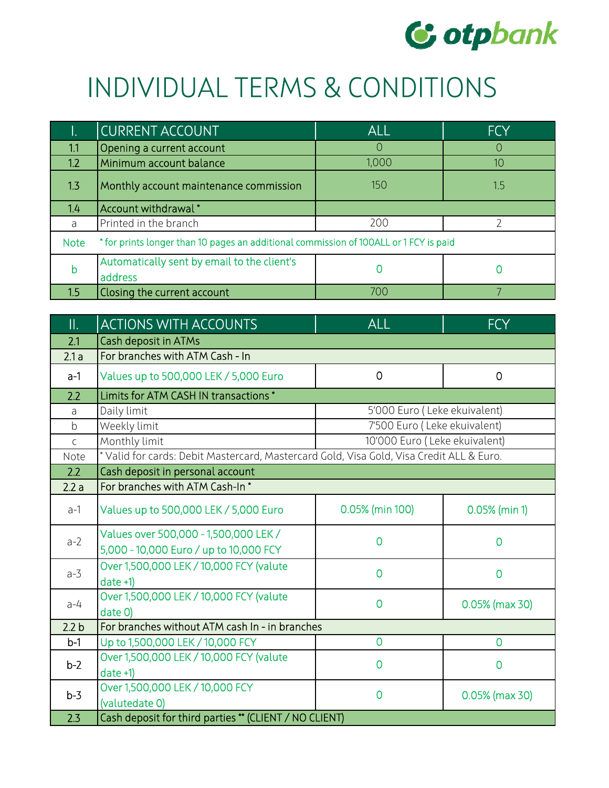

## INDIVIDUAL TERMS & CONDITIONS

| 47          | CURRENT ACCOUNT                                                                       | <b>ALL</b> | <b>FCY</b> |
|-------------|---------------------------------------------------------------------------------------|------------|------------|
| 1.1         | Opening a current account                                                             | $\Omega$   | $\bigcap$  |
| 1.2         | Minimum account balance                                                               | 1,000      | 10         |
| 1.3         | Monthly account maintenance commission                                                | 150        | 1.5        |
| 1.4         | Account withdrawal*                                                                   |            |            |
| a           | Printed in the branch                                                                 | 200        |            |
| <b>Note</b> | * for prints longer than 10 pages an additional commission of 100ALL or 1 FCY is paid |            |            |
| b           | Automatically sent by email to the client's<br>address                                | 0          |            |
| 1.5         | Closing the current account                                                           | 700        |            |

| $\mathbf{II}$ .  | <b>ACTIONS WITH ACCOUNTS</b>                                                             | <b>ALL</b>                    | <b>FCY</b>      |
|------------------|------------------------------------------------------------------------------------------|-------------------------------|-----------------|
| 2.1              | Cash deposit in ATMs                                                                     |                               |                 |
| 2.1a             | For branches with ATM Cash - In                                                          |                               |                 |
| $a-1$            | Values up to 500,000 LEK / 5,000 Euro                                                    | $\overline{0}$                | $\overline{0}$  |
| 2.2              | Limits for ATM CASH IN transactions *                                                    |                               |                 |
| a                | Daily limit                                                                              | 5'000 Euro (Leke ekuivalent)  |                 |
| $\mathsf b$      | Weekly limit                                                                             | 7'500 Euro (Leke ekuivalent)  |                 |
| $\mathsf{C}$     | Monthly limit                                                                            | 10'000 Euro (Leke ekuivalent) |                 |
| Note             | * Valid for cards: Debit Mastercard, Mastercard Gold, Visa Gold, Visa Credit ALL & Euro. |                               |                 |
| 2.2              | Cash deposit in personal account                                                         |                               |                 |
| 2.2a             | For branches with ATM Cash-In*                                                           |                               |                 |
| $a-1$            | Values up to 500,000 LEK / 5,000 Euro                                                    | 0.05% (min 100)               | $0.05%$ (min 1) |
| $a-2$            | Values over 500,000 - 1,500,000 LEK /<br>5,000 - 10,000 Euro / up to 10,000 FCY          | $\overline{0}$                | $\overline{0}$  |
| $a-3$            | Over 1,500,000 LEK / 10,000 FCY (valute<br>$date +1)$                                    | $\overline{0}$                | $\overline{0}$  |
| $a-4$            | Over 1,500,000 LEK / 10,000 FCY (valute<br>date 0)                                       | $\overline{0}$                | 0.05% (max 30)  |
| 2.2 <sub>b</sub> | For branches without ATM cash In - in branches                                           |                               |                 |
| $b-1$            | Up to 1,500,000 LEK / 10,000 FCY                                                         | $\overline{0}$                | $\overline{0}$  |
| $b-2$            | Over 1,500,000 LEK / 10,000 FCY (valute<br>$date +1)$                                    | $\overline{0}$                | $\overline{0}$  |
| $b-3$            | Over 1,500,000 LEK / 10,000 FCY<br>(valutedate 0)                                        | $\overline{0}$                | 0.05% (max 30)  |
| 2.3              | Cash deposit for third parties ** (CLIENT / NO CLIENT)                                   |                               |                 |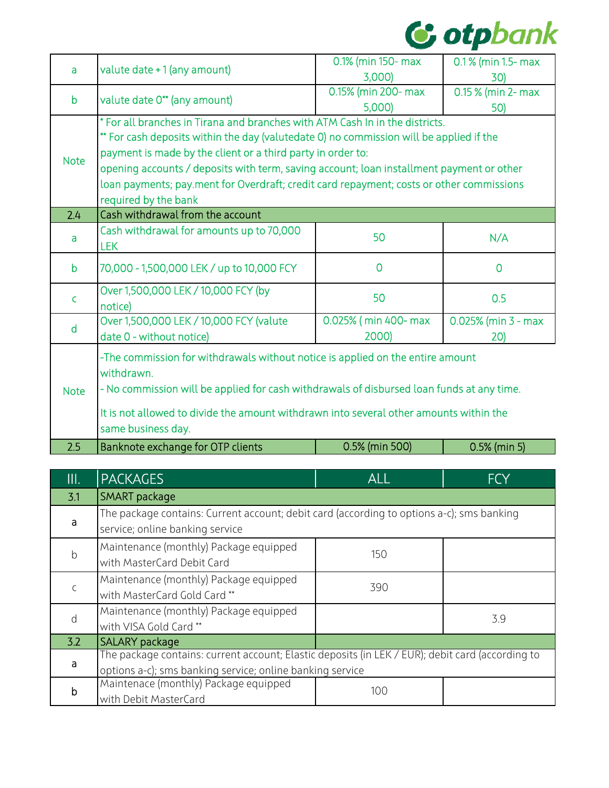

| valute date +1 (any amount)<br>a<br>3,000)<br>30)<br>0.15% (min 200- max<br>$\overline{0.15}$ % (min 2- max<br>valute date 0** (any amount)<br>$\mathbf b$<br>5,000)<br>50)<br>* For all branches in Tirana and branches with ATM Cash In in the districts.<br>** For cash deposits within the day (valutedate 0) no commission will be applied if the<br>payment is made by the client or a third party in order to:<br><b>Note</b><br>opening accounts / deposits with term, saving account; loan installment payment or other<br>loan payments; pay.ment for Overdraft; credit card repayment; costs or other commissions<br>required by the bank<br>Cash withdrawal from the account<br>2.4<br>Cash withdrawal for amounts up to 70,000<br>50<br>N/A<br>a<br><b>LEK</b><br>70,000 - 1,500,000 LEK / up to 10,000 FCY<br>$\overline{0}$<br>$\mathsf b$<br>$\overline{0}$<br>Over 1,500,000 LEK / 10,000 FCY (by<br>50<br>0.5<br>$\mathsf{C}$ |  |  |  |
|-------------------------------------------------------------------------------------------------------------------------------------------------------------------------------------------------------------------------------------------------------------------------------------------------------------------------------------------------------------------------------------------------------------------------------------------------------------------------------------------------------------------------------------------------------------------------------------------------------------------------------------------------------------------------------------------------------------------------------------------------------------------------------------------------------------------------------------------------------------------------------------------------------------------------------------------------|--|--|--|
|                                                                                                                                                                                                                                                                                                                                                                                                                                                                                                                                                                                                                                                                                                                                                                                                                                                                                                                                                 |  |  |  |
|                                                                                                                                                                                                                                                                                                                                                                                                                                                                                                                                                                                                                                                                                                                                                                                                                                                                                                                                                 |  |  |  |
|                                                                                                                                                                                                                                                                                                                                                                                                                                                                                                                                                                                                                                                                                                                                                                                                                                                                                                                                                 |  |  |  |
|                                                                                                                                                                                                                                                                                                                                                                                                                                                                                                                                                                                                                                                                                                                                                                                                                                                                                                                                                 |  |  |  |
|                                                                                                                                                                                                                                                                                                                                                                                                                                                                                                                                                                                                                                                                                                                                                                                                                                                                                                                                                 |  |  |  |
|                                                                                                                                                                                                                                                                                                                                                                                                                                                                                                                                                                                                                                                                                                                                                                                                                                                                                                                                                 |  |  |  |
|                                                                                                                                                                                                                                                                                                                                                                                                                                                                                                                                                                                                                                                                                                                                                                                                                                                                                                                                                 |  |  |  |
|                                                                                                                                                                                                                                                                                                                                                                                                                                                                                                                                                                                                                                                                                                                                                                                                                                                                                                                                                 |  |  |  |
|                                                                                                                                                                                                                                                                                                                                                                                                                                                                                                                                                                                                                                                                                                                                                                                                                                                                                                                                                 |  |  |  |
|                                                                                                                                                                                                                                                                                                                                                                                                                                                                                                                                                                                                                                                                                                                                                                                                                                                                                                                                                 |  |  |  |
|                                                                                                                                                                                                                                                                                                                                                                                                                                                                                                                                                                                                                                                                                                                                                                                                                                                                                                                                                 |  |  |  |
|                                                                                                                                                                                                                                                                                                                                                                                                                                                                                                                                                                                                                                                                                                                                                                                                                                                                                                                                                 |  |  |  |
|                                                                                                                                                                                                                                                                                                                                                                                                                                                                                                                                                                                                                                                                                                                                                                                                                                                                                                                                                 |  |  |  |
|                                                                                                                                                                                                                                                                                                                                                                                                                                                                                                                                                                                                                                                                                                                                                                                                                                                                                                                                                 |  |  |  |
|                                                                                                                                                                                                                                                                                                                                                                                                                                                                                                                                                                                                                                                                                                                                                                                                                                                                                                                                                 |  |  |  |
| notice)<br>Over 1,500,000 LEK / 10,000 FCY (valute<br>0.025% (min 400- max<br>$0.025%$ (min 3 - max                                                                                                                                                                                                                                                                                                                                                                                                                                                                                                                                                                                                                                                                                                                                                                                                                                             |  |  |  |
| d                                                                                                                                                                                                                                                                                                                                                                                                                                                                                                                                                                                                                                                                                                                                                                                                                                                                                                                                               |  |  |  |
| 2000)<br>date 0 - without notice)<br>20)                                                                                                                                                                                                                                                                                                                                                                                                                                                                                                                                                                                                                                                                                                                                                                                                                                                                                                        |  |  |  |
| -The commission for withdrawals without notice is applied on the entire amount                                                                                                                                                                                                                                                                                                                                                                                                                                                                                                                                                                                                                                                                                                                                                                                                                                                                  |  |  |  |
| withdrawn.                                                                                                                                                                                                                                                                                                                                                                                                                                                                                                                                                                                                                                                                                                                                                                                                                                                                                                                                      |  |  |  |
| - No commission will be applied for cash withdrawals of disbursed loan funds at any time.<br><b>Note</b>                                                                                                                                                                                                                                                                                                                                                                                                                                                                                                                                                                                                                                                                                                                                                                                                                                        |  |  |  |
| It is not allowed to divide the amount withdrawn into several other amounts within the                                                                                                                                                                                                                                                                                                                                                                                                                                                                                                                                                                                                                                                                                                                                                                                                                                                          |  |  |  |
| same business day.                                                                                                                                                                                                                                                                                                                                                                                                                                                                                                                                                                                                                                                                                                                                                                                                                                                                                                                              |  |  |  |
| 2.5<br>0.5% (min 500)<br>Banknote exchange for OTP clients<br>$0.5%$ (min 5)                                                                                                                                                                                                                                                                                                                                                                                                                                                                                                                                                                                                                                                                                                                                                                                                                                                                    |  |  |  |

| III.        | <b>PACKAGES</b>                                                                                                              | <b>ALL</b> | <b>FCY</b> |
|-------------|------------------------------------------------------------------------------------------------------------------------------|------------|------------|
| 3.1         | <b>SMART</b> package                                                                                                         |            |            |
| a           | The package contains: Current account; debit card (according to options a-c); sms banking<br>service; online banking service |            |            |
| $\mathsf b$ | Maintenance (monthly) Package equipped<br>with MasterCard Debit Card                                                         | 150        |            |
| $\mathsf C$ | Maintenance (monthly) Package equipped<br>with MasterCard Gold Card**                                                        | 390        |            |
| d           | Maintenance (monthly) Package equipped<br>with VISA Gold Card **                                                             |            | 3.9        |
| 3.2         | <b>SALARY</b> package                                                                                                        |            |            |
| a           | The package contains: current account; Elastic deposits (in LEK / EUR); debit card (according to                             |            |            |
|             | options a-c); sms banking service; online banking service                                                                    |            |            |
| b           | Maintenace (monthly) Package equipped                                                                                        | 100        |            |
|             | with Debit MasterCard                                                                                                        |            |            |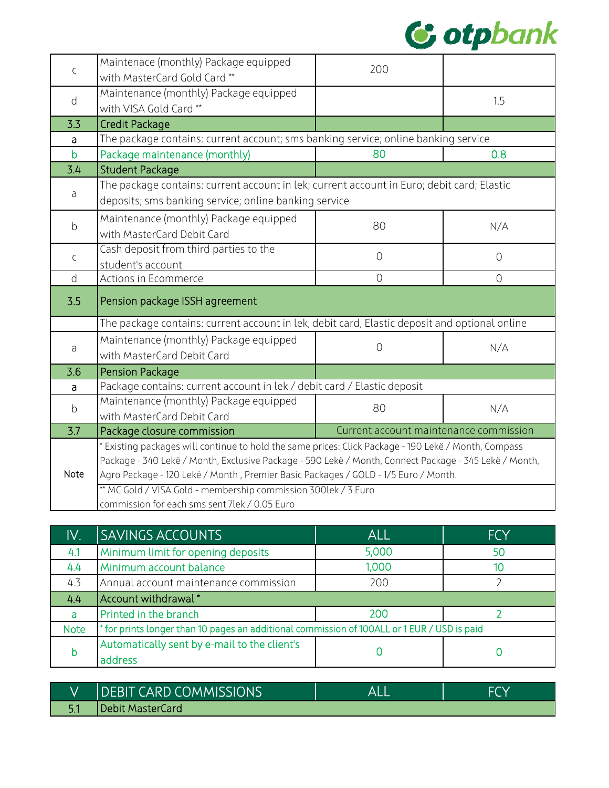

| $\mathsf C$  | Maintenace (monthly) Package equipped<br>with MasterCard Gold Card**                                  | 200                                    |                |
|--------------|-------------------------------------------------------------------------------------------------------|----------------------------------------|----------------|
|              | Maintenance (monthly) Package equipped                                                                |                                        |                |
| d            | with VISA Gold Card**                                                                                 |                                        | 1.5            |
| 3.3          | <b>Credit Package</b>                                                                                 |                                        |                |
| a            | The package contains: current account; sms banking service; online banking service                    |                                        |                |
| $\mathsf{b}$ | Package maintenance (monthly)                                                                         | 80                                     | 0.8            |
| 3.4          | <b>Student Package</b>                                                                                |                                        |                |
| a            | The package contains: current account in lek; current account in Euro; debit card; Elastic            |                                        |                |
|              | deposits; sms banking service; online banking service                                                 |                                        |                |
|              | Maintenance (monthly) Package equipped                                                                |                                        | N/A            |
| $\mathsf b$  | with MasterCard Debit Card                                                                            | 80                                     |                |
| $\mathsf C$  | Cash deposit from third parties to the                                                                | $\overline{0}$                         | $\overline{0}$ |
|              | student's account                                                                                     |                                        |                |
| d            | Actions in Ecommerce                                                                                  | $\overline{0}$                         | $\overline{0}$ |
| 3.5          | Pension package ISSH agreement                                                                        |                                        |                |
|              | The package contains: current account in lek, debit card, Elastic deposit and optional online         |                                        |                |
| $\partial$   | Maintenance (monthly) Package equipped                                                                | $\overline{O}$                         | N/A            |
|              | with MasterCard Debit Card                                                                            |                                        |                |
| 3.6          | <b>Pension Package</b>                                                                                |                                        |                |
| a            | Package contains: current account in lek / debit card / Elastic deposit                               |                                        |                |
| $\mathsf b$  | Maintenance (monthly) Package equipped                                                                | 80                                     | N/A            |
|              | with MasterCard Debit Card                                                                            |                                        |                |
| 3.7          | Package closure commission                                                                            | Current account maintenance commission |                |
|              | Existing packages will continue to hold the same prices: Click Package - 190 Lekë / Month, Compass    |                                        |                |
|              | Package - 340 Lekë / Month, Exclusive Package - 590 Lekë / Month, Connect Package - 345 Lekë / Month, |                                        |                |
| Note         | Agro Package - 120 Lekë / Month, Premier Basic Packages / GOLD - 1/5 Euro / Month.                    |                                        |                |
|              | ** MC Gold / VISA Gold - membership commission 300lek / 3 Euro                                        |                                        |                |
|              | commission for each sms sent 7lek / 0.05 Euro                                                         |                                        |                |

| IV.         | <b>SAVINGS ACCOUNTS</b>                                                                     | <b>ALL</b> | <b>FCY</b> |
|-------------|---------------------------------------------------------------------------------------------|------------|------------|
| 4.1         | Minimum limit for opening deposits                                                          | 5,000      | 50         |
| 4.4         | Minimum account balance                                                                     | 1,000      | 10         |
| 4.3         | Annual account maintenance commission                                                       | 200        |            |
| 4.4         | Account withdrawal*                                                                         |            |            |
| a           | Printed in the branch                                                                       | 200        |            |
| <b>Note</b> | * for prints longer than 10 pages an additional commission of 100ALL or 1 EUR / USD is paid |            |            |
| b           | Automatically sent by e-mail to the client's                                                |            |            |
|             | address                                                                                     |            |            |

| <b>IDEBIT CARD COMMISSIONS</b> | ΔI |  |
|--------------------------------|----|--|
| Debit MasterCard               |    |  |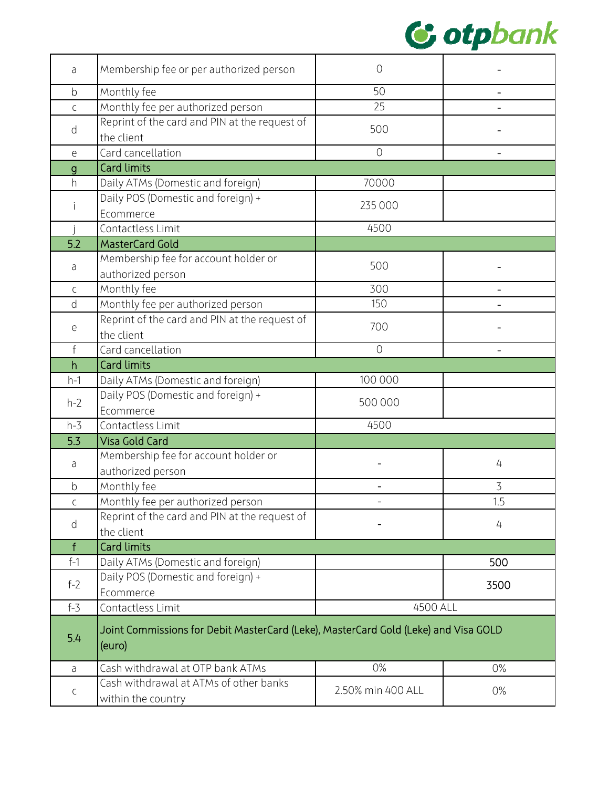

| a                                          | Membership fee or per authorized person                                                       | $\overline{O}$    |                   |
|--------------------------------------------|-----------------------------------------------------------------------------------------------|-------------------|-------------------|
| $\mathsf b$                                | Monthly fee                                                                                   | 50                |                   |
| $\mathsf C$                                | Monthly fee per authorized person                                                             | 25                |                   |
| d                                          | Reprint of the card and PIN at the request of<br>the client                                   | 500               |                   |
| $\mathsf{e}% _{0}\left( \mathsf{e}\right)$ | Card cancellation                                                                             | $\overline{O}$    | $\qquad \qquad -$ |
| $\mathbf{g}$                               | <b>Card limits</b>                                                                            |                   |                   |
| h                                          | Daily ATMs (Domestic and foreign)                                                             | 70000             |                   |
|                                            | Daily POS (Domestic and foreign) +<br>Ecommerce                                               | 235 000           |                   |
|                                            | Contactless Limit                                                                             | 4500              |                   |
| 5.2                                        | <b>MasterCard Gold</b>                                                                        |                   |                   |
| a                                          | Membership fee for account holder or<br>authorized person                                     | 500               |                   |
| C                                          | Monthly fee                                                                                   | 300               |                   |
| d                                          | Monthly fee per authorized person                                                             | 150               |                   |
| е                                          | Reprint of the card and PIN at the request of<br>the client                                   | 700               |                   |
| $\mathsf{f}$                               | Card cancellation                                                                             | $\overline{O}$    |                   |
| h                                          | <b>Card limits</b>                                                                            |                   |                   |
| $h-1$                                      | Daily ATMs (Domestic and foreign)                                                             | 100 000           |                   |
|                                            | Daily POS (Domestic and foreign) +                                                            |                   |                   |
| $h-2$                                      | Ecommerce                                                                                     | 500 000           |                   |
| $h-3$                                      | Contactless Limit                                                                             | 4500              |                   |
| 5.3                                        | <b>Visa Gold Card</b>                                                                         |                   |                   |
| a                                          | Membership fee for account holder or<br>authorized person                                     |                   | 4                 |
| $\mathsf b$                                | Monthly fee                                                                                   |                   | 3                 |
| $\mathsf C$                                | Monthly fee per authorized person                                                             |                   | 1.5               |
|                                            | Reprint of the card and PIN at the request of                                                 |                   |                   |
| d                                          | the client                                                                                    |                   | 4                 |
| f                                          | <b>Card limits</b>                                                                            |                   |                   |
| $f-1$                                      | Daily ATMs (Domestic and foreign)                                                             |                   | 500               |
| $f-2$                                      | Daily POS (Domestic and foreign) +<br>Ecommerce                                               |                   | 3500              |
| $f - 3$                                    | Contactless Limit                                                                             | 4500 ALL          |                   |
| 5.4                                        | Joint Commissions for Debit MasterCard (Leke), MasterCard Gold (Leke) and Visa GOLD<br>(euro) |                   |                   |
| a                                          | Cash withdrawal at OTP bank ATMs                                                              | 0%                | 0%                |
| $\mathsf C$                                | Cash withdrawal at ATMs of other banks<br>within the country                                  | 2.50% min 400 ALL | $0\%$             |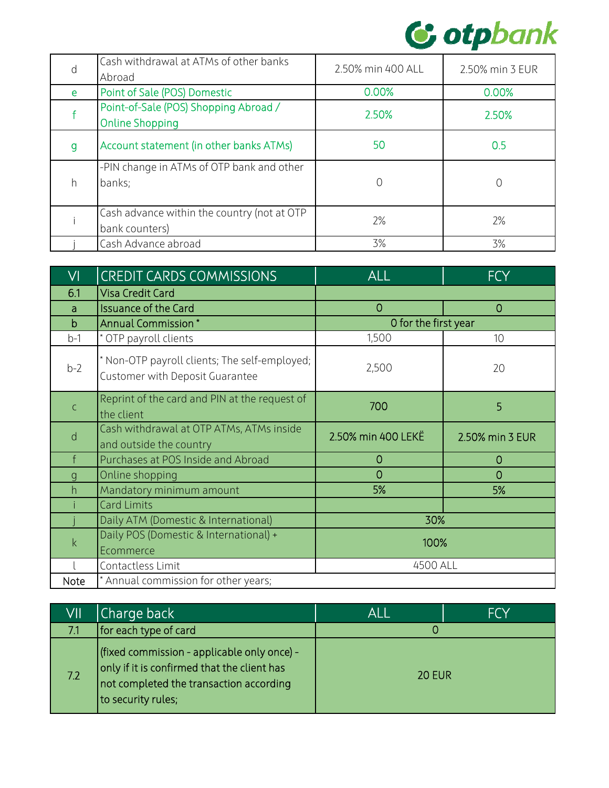

| d            | Cash withdrawal at ATMs of other banks<br>Abroad                | 2.50% min 400 ALL | 2.50% min 3 EUR |
|--------------|-----------------------------------------------------------------|-------------------|-----------------|
| e            | Point of Sale (POS) Domestic                                    | 0.00%             | 0.00%           |
|              | Point-of-Sale (POS) Shopping Abroad /<br><b>Online Shopping</b> | 2.50%             | 2.50%           |
| $\mathsf{g}$ | Account statement (in other banks ATMs)                         | 50                | 0.5             |
| h            | -PIN change in ATMs of OTP bank and other<br>banks;             | 0                 | 0               |
|              | Cash advance within the country (not at OTP<br>bank counters)   | 2%                | 2%              |
|              | Cash Advance abroad                                             | 3%                | 3%              |

| VI           | <b>CREDIT CARDS COMMISSIONS</b>                                                  | <b>ALL</b>           | <b>FCY</b>      |
|--------------|----------------------------------------------------------------------------------|----------------------|-----------------|
| 6.1          | <b>Visa Credit Card</b>                                                          |                      |                 |
| a            | <b>Issuance of the Card</b>                                                      | $\overline{0}$       | $\Omega$        |
| $\mathsf b$  | Annual Commission*                                                               | O for the first year |                 |
| $b-1$        | * OTP payroll clients                                                            | 1,500                | 10              |
| $b-2$        | * Non-OTP payroll clients; The self-employed;<br>Customer with Deposit Guarantee | 2,500                | 20              |
| $\mathsf C$  | Reprint of the card and PIN at the request of<br>the client                      | 700                  | 5               |
| d            | Cash withdrawal at OTP ATMs, ATMs inside<br>and outside the country              | 2.50% min 400 LEKE   | 2.50% min 3 EUR |
|              | Purchases at POS Inside and Abroad                                               | $\overline{0}$       | $\overline{0}$  |
| $\mathsf{g}$ | Online shopping                                                                  | $\overline{0}$       | $\Omega$        |
| h            | Mandatory minimum amount                                                         | 5%                   | 5%              |
|              | <b>Card Limits</b>                                                               |                      |                 |
|              | Daily ATM (Domestic & International)                                             | 30%                  |                 |
| $\mathsf{k}$ | Daily POS (Domestic & International) +<br>Ecommerce                              | 100%                 |                 |
|              | Contactless Limit                                                                | 4500 ALL             |                 |
| Note         | * Annual commission for other years;                                             |                      |                 |

| VII | Charge back                                                                                                                                                 | ALI           | <b>FCY</b> |
|-----|-------------------------------------------------------------------------------------------------------------------------------------------------------------|---------------|------------|
| 7.1 | for each type of card                                                                                                                                       |               |            |
| 7.2 | (fixed commission - applicable only once) -<br>only if it is confirmed that the client has<br>not completed the transaction according<br>to security rules; | <b>20 EUR</b> |            |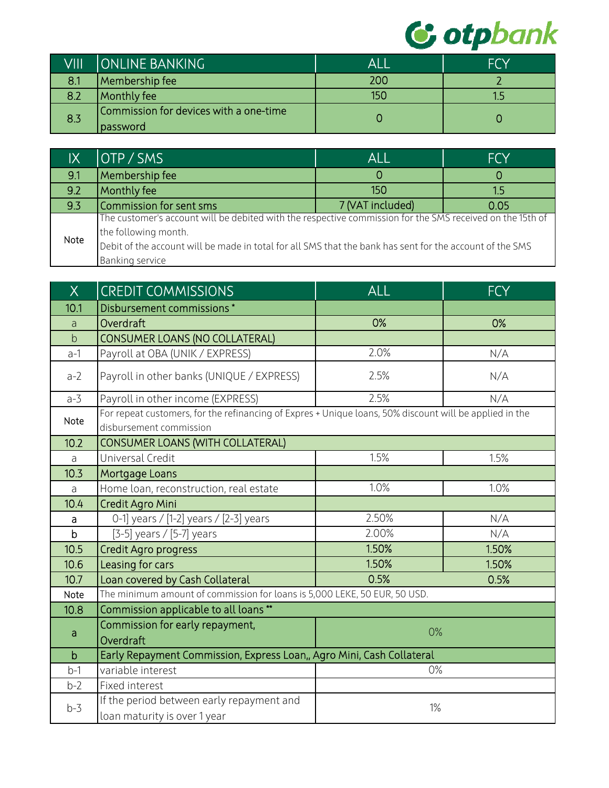

| VIII | <b>ONLINE BANKING</b>                               | ALI | <b>FCY</b> |
|------|-----------------------------------------------------|-----|------------|
| 8.1  | Membership fee                                      | 200 |            |
| 8.2  | Monthly fee                                         | 150 |            |
| 8.3  | Commission for devices with a one-time<br> password |     |            |

| IX   | OTP / SMS                                                                                                 | <b>ALL</b>       | <b>FCY</b> |
|------|-----------------------------------------------------------------------------------------------------------|------------------|------------|
| 9.1  | Membership fee                                                                                            |                  |            |
| 9.2  | Monthly fee                                                                                               | 150              | 1.5        |
| 9.3  | Commission for sent sms                                                                                   | 7 (VAT included) | 0.05       |
|      | The customer's account will be debited with the respective commission for the SMS received on the 15th of |                  |            |
| Note | the following month.                                                                                      |                  |            |
|      | Debit of the account will be made in total for all SMS that the bank has sent for the account of the SMS  |                  |            |
|      | Banking service                                                                                           |                  |            |

| X            | <b>CREDIT COMMISSIONS</b>                                                                                                          | <b>ALL</b> | <b>FCY</b> |
|--------------|------------------------------------------------------------------------------------------------------------------------------------|------------|------------|
| 10.1         | Disbursement commissions*                                                                                                          |            |            |
| a            | Overdraft                                                                                                                          | 0%         | 0%         |
| þ            | <b>CONSUMER LOANS (NO COLLATERAL)</b>                                                                                              |            |            |
| $a-1$        | Payroll at OBA (UNIK / EXPRESS)                                                                                                    | 2.0%       | N/A        |
| $a-2$        | Payroll in other banks (UNIQUE / EXPRESS)                                                                                          | 2.5%       | N/A        |
| $a-3$        | Payroll in other income (EXPRESS)                                                                                                  | 2.5%       | N/A        |
| Note         | For repeat customers, for the refinancing of Expres + Unique loans, 50% discount will be applied in the<br>disbursement commission |            |            |
| 10.2         | CONSUMER LOANS (WITH COLLATERAL)                                                                                                   |            |            |
| a            | Universal Credit                                                                                                                   | 1.5%       | 1.5%       |
| 10.3         | Mortgage Loans                                                                                                                     |            |            |
| $\partial$   | Home loan, reconstruction, real estate                                                                                             | 1.0%       | 1.0%       |
| 10.4         | Credit Agro Mini                                                                                                                   |            |            |
| $\mathsf{a}$ | 0-1] years / [1-2] years / [2-3] years                                                                                             | 2.50%      | N/A        |
| $\mathsf b$  | [3-5] years / [5-7] years                                                                                                          | 2.00%      | N/A        |
| 10.5         | Credit Agro progress                                                                                                               | 1.50%      | 1.50%      |
| 10.6         | Leasing for cars                                                                                                                   | 1.50%      | 1.50%      |
| 10.7         | Loan covered by Cash Collateral                                                                                                    | 0.5%       | 0.5%       |
| Note         | The minimum amount of commission for loans is 5,000 LEKE, 50 EUR, 50 USD.                                                          |            |            |
| 10.8         | Commission applicable to all loans **                                                                                              |            |            |
|              | Commission for early repayment,                                                                                                    | 0%         |            |
| a            | Overdraft                                                                                                                          |            |            |
| $\mathsf b$  | Early Repayment Commission, Express Loan,, Agro Mini, Cash Collateral                                                              |            |            |
| $b-1$        | variable interest                                                                                                                  | 0%         |            |
| $b-2$        | Fixed interest                                                                                                                     |            |            |
| $b-3$        | If the period between early repayment and                                                                                          | $1\%$      |            |
|              | loan maturity is over 1 year                                                                                                       |            |            |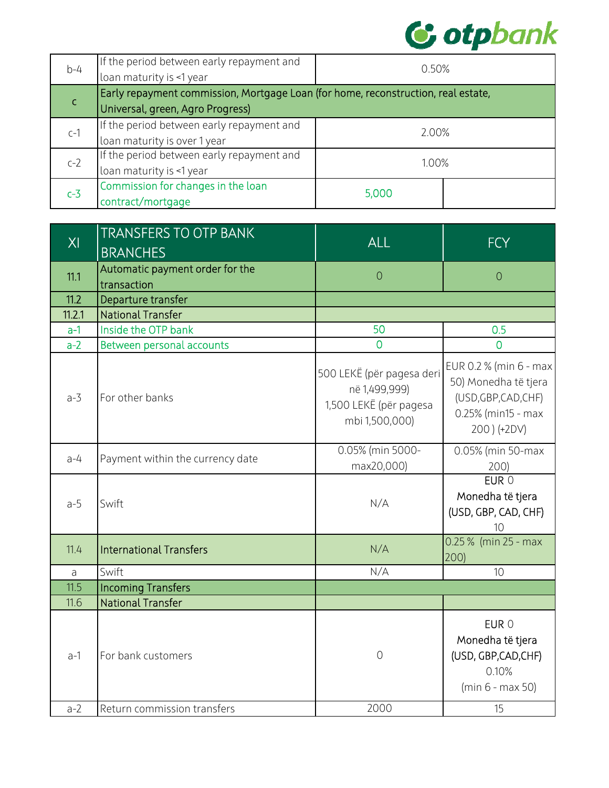

| $b-4$ | If the period between early repayment and                                         | 0.50% |  |
|-------|-----------------------------------------------------------------------------------|-------|--|
|       | loan maturity is <1 year                                                          |       |  |
|       | Early repayment commission, Mortgage Loan (for home, reconstruction, real estate, |       |  |
|       | Universal, green, Agro Progress)                                                  |       |  |
|       | If the period between early repayment and                                         | 2.00% |  |
| $C-1$ | loan maturity is over 1 year                                                      |       |  |
|       | If the period between early repayment and                                         | 1.00% |  |
| $c-2$ | loan maturity is <1 year                                                          |       |  |
| $c-3$ | Commission for changes in the loan                                                | 5,000 |  |
|       | contract/mortgage                                                                 |       |  |

| XI         | <b>TRANSFERS TO OTP BANK</b>     | <b>ALL</b>                                                                             | <b>FCY</b>                                                                                                  |
|------------|----------------------------------|----------------------------------------------------------------------------------------|-------------------------------------------------------------------------------------------------------------|
|            | <b>BRANCHES</b>                  |                                                                                        |                                                                                                             |
| 11.1       | Automatic payment order for the  | $\overline{O}$                                                                         | $\overline{0}$                                                                                              |
|            | transaction                      |                                                                                        |                                                                                                             |
| 11.2       | Departure transfer               |                                                                                        |                                                                                                             |
| 11.2.1     | <b>National Transfer</b>         |                                                                                        |                                                                                                             |
| $a-1$      | Inside the OTP bank              | 50                                                                                     | 0.5                                                                                                         |
| $a-2$      | Between personal accounts        | $\overline{0}$                                                                         | $\overline{0}$                                                                                              |
| $a-3$      | For other banks                  | 500 LEKË (për pagesa deri<br>në 1,499,999)<br>1,500 LEKË (për pagesa<br>mbi 1,500,000) | EUR 0.2 % (min 6 - max<br>50) Monedha të tjera<br>(USD, GBP, CAD, CHF)<br>0.25% (min15 - max<br>200) (+2DV) |
| $a-4$      | Payment within the currency date | 0.05% (min 5000-<br>max20,000)                                                         | 0.05% (min 50-max<br>200)                                                                                   |
| $a-5$      | Swift                            | N/A                                                                                    | $EUR$ <sup>O</sup><br>Monedha të tjera<br>(USD, GBP, CAD, CHF)<br>10                                        |
| 11.4       | <b>International Transfers</b>   | N/A                                                                                    | 0.25 % (min 25 - max<br>200)                                                                                |
| $\partial$ | Swift                            | N/A                                                                                    | 10                                                                                                          |
| 11.5       | <b>Incoming Transfers</b>        |                                                                                        |                                                                                                             |
| 11.6       | <b>National Transfer</b>         |                                                                                        |                                                                                                             |
| $a-1$      | For bank customers               | $\overline{O}$                                                                         | EUR 0<br>Monedha të tjera<br>(USD, GBP, CAD, CHF)<br>0.10%<br>$(min 6 - max 50)$                            |
| $a-2$      | Return commission transfers      | 2000                                                                                   | 15                                                                                                          |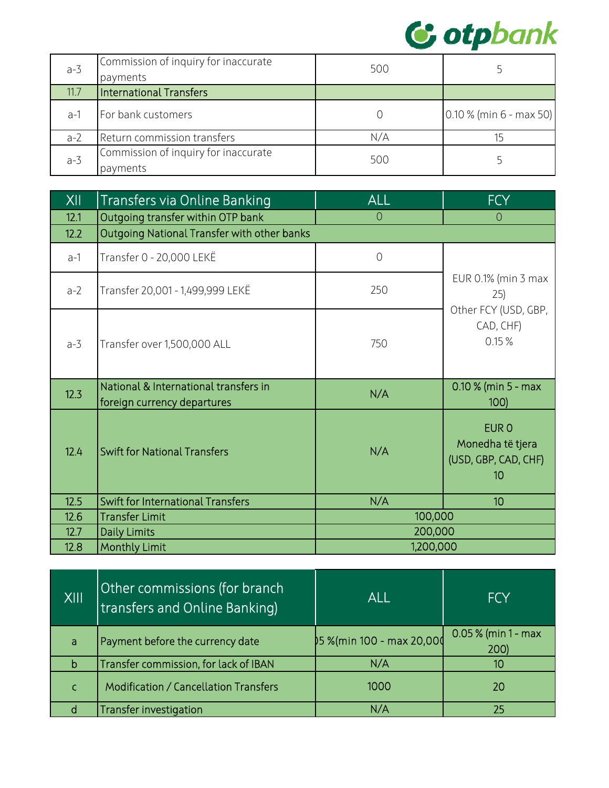

| $a-3$ | Commission of inquiry for inaccurate<br>payments | 500 |                           |
|-------|--------------------------------------------------|-----|---------------------------|
| 11.7  | International Transfers                          |     |                           |
| $a-1$ | For bank customers                               |     | $0.10\%$ (min 6 - max 50) |
| $a-2$ | Return commission transfers                      | N/A | 15                        |
| $a-3$ | Commission of inquiry for inaccurate<br>payments | 500 |                           |

| XII   | Transfers via Online Banking                                         | <b>ALL</b>     | <b>FCY</b>                                                         |
|-------|----------------------------------------------------------------------|----------------|--------------------------------------------------------------------|
| 12.1  | Outgoing transfer within OTP bank                                    | $\overline{0}$ | $\overline{O}$                                                     |
| 12.2  | Outgoing National Transfer with other banks                          |                |                                                                    |
| $a-1$ | Transfer 0 - 20,000 LEKË                                             | $\overline{O}$ |                                                                    |
| $a-2$ | Transfer 20,001 - 1,499,999 LEKË                                     | 250            | EUR 0.1% (min 3 max<br>25)                                         |
| $a-3$ | Transfer over 1,500,000 ALL                                          | 750            | Other FCY (USD, GBP,<br>CAD, CHF)<br>0.15%                         |
| 12.3  | National & International transfers in<br>foreign currency departures | N/A            | $0.10$ % (min 5 - max<br>100                                       |
| 12.4  | <b>Swift for National Transfers</b>                                  | N/A            | EUR <sub>0</sub><br>Monedha të tjera<br>(USD, GBP, CAD, CHF)<br>10 |
| 12.5  | <b>Swift for International Transfers</b>                             | N/A            | 10 <sup>°</sup>                                                    |
| 12.6  | <b>Transfer Limit</b>                                                | 100,000        |                                                                    |
| 12.7  | <b>Daily Limits</b>                                                  | 200,000        |                                                                    |
| 12.8  | <b>Monthly Limit</b>                                                 | 1,200,000      |                                                                    |

| XIII | Other commissions (for branch<br><b>Itransfers and Online Banking)</b> | ALL                        | <b>FCY</b>                   |
|------|------------------------------------------------------------------------|----------------------------|------------------------------|
| a    | Payment before the currency date                                       | \$5 %(min 100 - max 20,000 | $0.05\%$ (min 1 - max<br>200 |
| b    | Transfer commission, for lack of IBAN                                  | N/A                        | 10                           |
| C    | <b>Modification / Cancellation Transfers</b>                           | 1000                       | 20                           |
|      | <b>Transfer investigation</b>                                          | N/A                        | 25                           |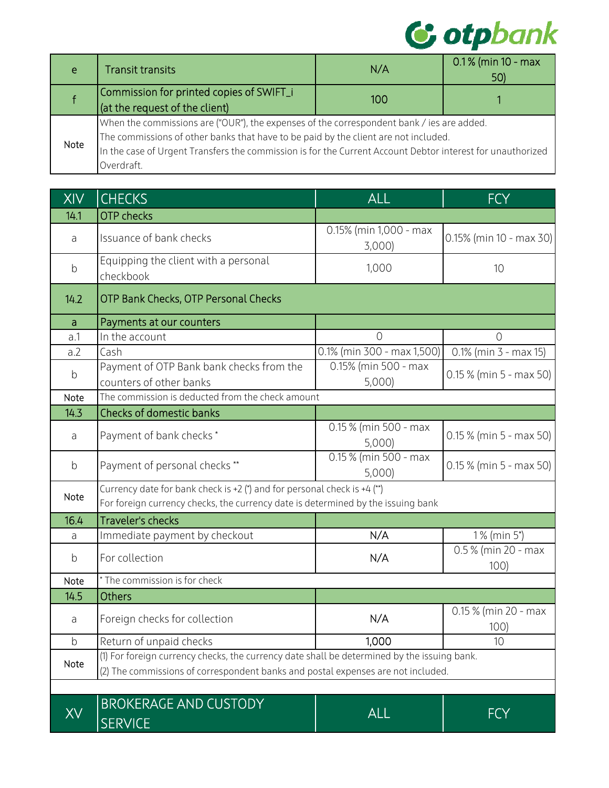

| e    | <b>Transit transits</b>                                                                                    | N/A | $0.1\%$ (min 10 - max<br>50) |
|------|------------------------------------------------------------------------------------------------------------|-----|------------------------------|
|      | Commission for printed copies of SWIFT_i                                                                   | 100 |                              |
|      | (at the request of the client)                                                                             |     |                              |
|      | When the commissions are ("OUR"), the expenses of the correspondent bank / ies are added.                  |     |                              |
| Note | The commissions of other banks that have to be paid by the client are not included.                        |     |                              |
|      | In the case of Urgent Transfers the commission is for the Current Account Debtor interest for unauthorized |     |                              |
|      | Overdraft.                                                                                                 |     |                              |

| <b>XIV</b>   | <b>CHECKS</b>                                                                                                                                                                   | <b>ALL</b>                                   | <b>FCY</b>                   |
|--------------|---------------------------------------------------------------------------------------------------------------------------------------------------------------------------------|----------------------------------------------|------------------------------|
| 14.1         | <b>OTP</b> checks                                                                                                                                                               |                                              |                              |
| a            | Issuance of bank checks                                                                                                                                                         | 0.15% (min 1,000 - max<br>3,000              | $0.15\%$ (min 10 - max 30)   |
| $\mathsf b$  | Equipping the client with a personal<br>checkbook                                                                                                                               | 1,000                                        | 10                           |
| 14.2         | OTP Bank Checks, OTP Personal Checks                                                                                                                                            |                                              |                              |
| $\mathsf{a}$ | Payments at our counters                                                                                                                                                        |                                              |                              |
| a.1          | In the account                                                                                                                                                                  | $\Omega$                                     | $\Omega$                     |
| a.2          | Cash                                                                                                                                                                            | $\overline{0.1\%}$ (min 300 - max 1,500)     | $0.1\%$ (min 3 - max 15)     |
| b            | Payment of OTP Bank bank checks from the<br>counters of other banks                                                                                                             | 0.15% (min 500 - max<br>5,000)               | $0.15\%$ (min 5 - max 50)    |
| Note         | The commission is deducted from the check amount                                                                                                                                |                                              |                              |
| 14.3         | Checks of domestic banks                                                                                                                                                        |                                              |                              |
| a            | Payment of bank checks *                                                                                                                                                        | $\overline{0.15}$ % (min 500 - max<br>5,000) | $0.15\%$ (min 5 - max 50)    |
| $\mathsf b$  | Payment of personal checks **                                                                                                                                                   | 0.15 % (min 500 - max<br>5,000               | $0.15\%$ (min 5 - max 50)    |
| Note         | Currency date for bank check is +2 (*) and for personal check is +4 (**)<br>For foreign currency checks, the currency date is determined by the issuing bank                    |                                              |                              |
| 16.4         | <b>Traveler's checks</b>                                                                                                                                                        |                                              |                              |
| a            | Immediate payment by checkout                                                                                                                                                   | N/A                                          | 1% (min 5*)                  |
| $\mathsf b$  | For collection                                                                                                                                                                  | N/A                                          | 0.5 % (min 20 - max<br>100   |
| Note         | * The commission is for check                                                                                                                                                   |                                              |                              |
| 14.5         | <b>Others</b>                                                                                                                                                                   |                                              |                              |
| a            | Foreign checks for collection                                                                                                                                                   | N/A                                          | 0.15 % (min 20 - max<br>100) |
| $\mathsf b$  | Return of unpaid checks                                                                                                                                                         | 1,000                                        | 10                           |
| Note         | (1) For foreign currency checks, the currency date shall be determined by the issuing bank.<br>(2) The commissions of correspondent banks and postal expenses are not included. |                                              |                              |
|              |                                                                                                                                                                                 |                                              |                              |
|              | <b>BROKERAGE AND CUSTODY</b><br><b>SERVICE</b>                                                                                                                                  | <b>ALL</b>                                   | <b>FCY</b>                   |